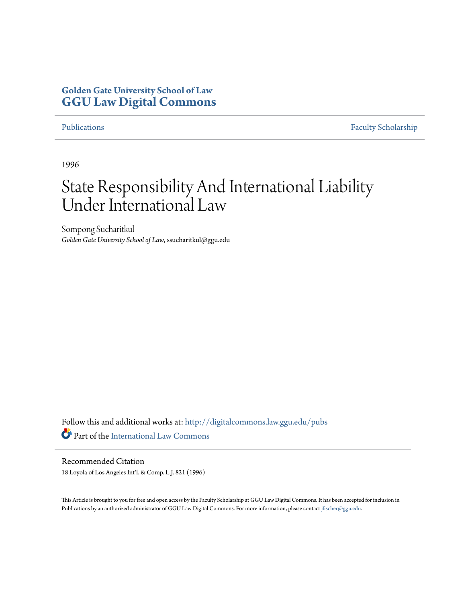# **Golden Gate University School of Law [GGU Law Digital Commons](http://digitalcommons.law.ggu.edu?utm_source=digitalcommons.law.ggu.edu%2Fpubs%2F224&utm_medium=PDF&utm_campaign=PDFCoverPages)**

[Publications](http://digitalcommons.law.ggu.edu/pubs?utm_source=digitalcommons.law.ggu.edu%2Fpubs%2F224&utm_medium=PDF&utm_campaign=PDFCoverPages) [Faculty Scholarship](http://digitalcommons.law.ggu.edu/facultyschol?utm_source=digitalcommons.law.ggu.edu%2Fpubs%2F224&utm_medium=PDF&utm_campaign=PDFCoverPages)

1996

# State Responsibility And International Liability Under International Law

Sompong Sucharitkul *Golden Gate University School of Law*, ssucharitkul@ggu.edu

Follow this and additional works at: [http://digitalcommons.law.ggu.edu/pubs](http://digitalcommons.law.ggu.edu/pubs?utm_source=digitalcommons.law.ggu.edu%2Fpubs%2F224&utm_medium=PDF&utm_campaign=PDFCoverPages) Part of the [International Law Commons](http://network.bepress.com/hgg/discipline/609?utm_source=digitalcommons.law.ggu.edu%2Fpubs%2F224&utm_medium=PDF&utm_campaign=PDFCoverPages)

Recommended Citation 18 Loyola of Los Angeles Int'l. & Comp. L.J. 821 (1996)

This Article is brought to you for free and open access by the Faculty Scholarship at GGU Law Digital Commons. It has been accepted for inclusion in Publications by an authorized administrator of GGU Law Digital Commons. For more information, please contact [jfischer@ggu.edu](mailto:jfischer@ggu.edu).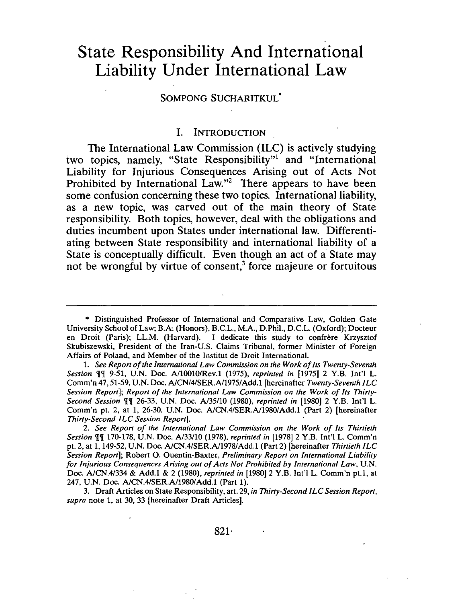# **State Responsibility And International Liability Under International Law**

#### SOMPONG SUCHARITKUL\*

#### I. INTRODUCTION

The International Law Commission (ILC) is actively studying two topics, namely, "State Responsibility"! and "International Liability for Injurious Consequences Arising out of Acts Not Prohibited by International Law."<sup>2</sup> There appears to have been some confusion concerning these two topics. International liability, as a new topic, was carved out of the main theory of State responsibility. Both topics, however, deal with the obligations and duties incumbent upon States under international law. Differentiating between State responsibility and international liability of a State is conceptually difficult. Even though an act of a State may not be wrongful by virtue of consent,<sup>3</sup> force majeure or fortuitous

<sup>\*</sup> Distinguished Professor of International and Comparative Law, Golden Gate University School of Law; B.A. (Honors), B.c.L., M.A., D.Phil., D.C.L. (Oxford); Docteur en Droit (Paris); LL.M. (Harvard). I dedicate this study to confrere Krzysztof Skubiszewski, President of the Iran-U.S. Claims Tribunal, former Minister of Foreign Affairs of Poland, and Member of the Institut de Droit International.

<sup>1.</sup> *See Report of the International Law Commission on the Work of Its Twenty-Seventh Session* n 9-51, U.N. Doc. *N1001O/Rev.l* (1975), *reprinted in* [1975] 2 Y.B. In!'l L. Comm'n 47, 51-59, U.N. Doc. *NCN/4/SER.A11975/Add.l* [hereinafter *Twenty-Seventh ILC Session Report]; Report of the International Law Commission on the Work of Its Thirty-Second Session*  $\P$ <sup>*'*</sup>] 26-33, U.N. Doc. *A*/35/10 (1980), *reprinted in* [1980] 2 Y.B. Int'l L. Comm'n pt. 2, at 1, 26-30, U.N. Doc. *NCN.4/SER.N1980/Add.l* (Part 2) [hereinafter *Thirty-Second ILC Session Report].* 

*<sup>2.</sup> See Report of the International Law Commission on the Work of Its Thirtieth Session*  $\P$ **]** 170-178, U.N. Doc. *A*/33/10 (1978), *reprinted in* [1978] 2 Y.B. Int'l L. Comm'n pt. 2, at 1, 149-52, U.N. Doc. *NCN.4/SER.NI978/Add.l* (Part 2) [hereinafter *Thirtieth ILC Session Report];* Robert Q. Quentin-Baxter, *Preliminary Report on International Liability for Injurious Consequences Arising out of Acts Not Prohibited by International Law, U.N.* Doc. *NCN.4/334* & Add.l & 2 (1980), *reprinted in* (1980] 2 Y.B. In!'l L. Comm'n pt.l, at 247, U.N. Doc. *NCN.4/SER.N1980/Add.l* (Part 1).

<sup>3.</sup> Draft Articles on State Responsibility, art. 29, *in Thirty-Second ILC Session Report, supra* note 1, at 30, 33 [hereinafter Draft Articles].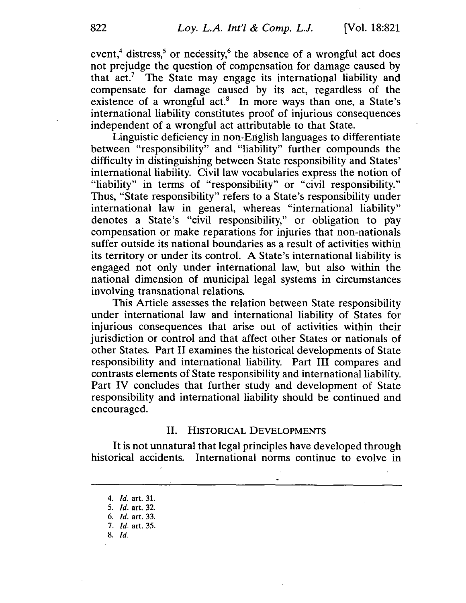event,<sup>4</sup> distress,<sup>5</sup> or necessity,<sup>6</sup> the absence of a wrongful act does not prejudge the question of compensation for damage caused by that act.<sup>7</sup> The State may engage its international liability and compensate for damage caused by its act, regardless of the existence of a wrongful act. $8$  In more ways than one, a State's international liability constitutes proof of injurious consequences independent of a wrongful act attributable to that State.

Linguistic deficiency in non-English languages to differentiate between "responsibility" and "liability" further compounds the difficulty in distinguishing between State responsibility and States' international liability. Civil law vocabularies express the notion of "liability" in terms of "responsibility" or "civil responsibility." Thus, "State responsibility" refers to a State's responsibility under international law in general, whereas "international liability" denotes a State's "civil responsibility," or obligation to pay compensation or make reparations for injuries that non-nationals suffer outside its national boundaries as a result of activities within its territory or under its control. A State's international liability is engaged not only under international law, but also within the national dimension of municipal legal systems in circumstances involving transnational relations.

This Article assesses the relation between State responsibility under international law and international liability of States for injurious consequences that arise out of activities within their jurisdiction or control and that affect other States or nationals of other States. Part II examines the historical developments of State responsibility and international liability. Part III compares and contrasts elements of State responsibility and international liability. Part IV concludes that further study and development of State responsibility and international liability should be continued and encouraged.

#### II. HISTORICAL DEVELOPMENTS

It is not unnatural that legal principles have developed through historical accidents. International norms continue to evolve in

8. [d.

<sup>4.</sup> *Id.* art. 31.

<sup>5. [</sup>d. art. 32.

<sup>6. [</sup>d. art. 33.

<sup>7.</sup> *Id.* art. 35.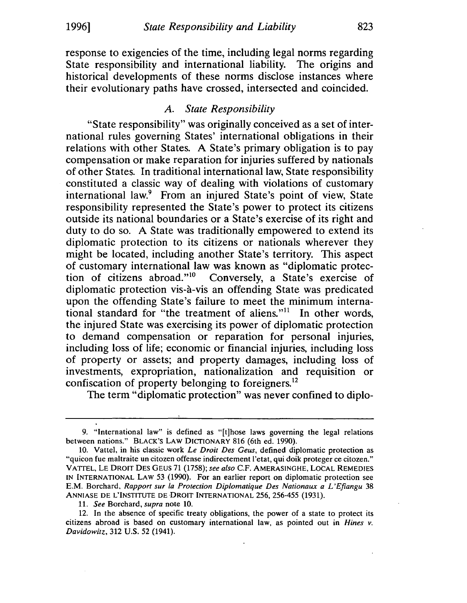response to exigencies of the time, including legal norms regarding State responsibility and international liability. The origins and historical developments of these norms disclose instances where their evolutionary paths have crossed, intersected and coincided.

#### A. *State Responsibility*

"State responsibility" was originally conceived as a set of international rules governing States' international obligations in their relations with other States. A State's primary obligation is to pay compensation or make reparation for injuries suffered by nationals of other States. In traditional international law, State responsibility constituted a classic way of dealing with violations of customary international law.9 From an injured State's point of view, State responsibility represented the State's power to protect its citizens outside its national boundaries or a State's exercise of its right and duty to do so. A State was traditionally empowered to extend its diplomatic protection to its citizens or nationals wherever they might be located, including another State's territory. This aspect of customary international law was known as "diplomatic protection of citizens abroad."<sup>10</sup> Conversely, a State's exercise of diplomatic protection vis-a-vis an offending State was predicated upon the offending State's failure to meet the minimum international standard for "the treatment of aliens."<sup>11</sup> In other words, the injured State was exercising its power of diplomatic protection to demand compensation or reparation for personal injuries, including loss of life; economic or financial injuries, including loss of property or assets; and property damages, including loss of investments, expropriation, nationalization and requisition or confiscation of property belonging to foreigners.<sup>12</sup>

The term "diplomatic protection" was never confined to diplo-

<sup>9. &</sup>quot;International law" is defined as "[t]hose laws governing the legal relations between nations." BLACK'S LAW DICTIONARY 816 (6th ed. 1990).

<sup>10.</sup> Vattel, in his classic work *Le Droit Des Geus,* defined diplomatic protection as "quicon fue maltraite un citozen offense indirectement I'etat, qui doik proteger ce citozen." VATfEL, LE DROIT DES GEUS 71 (1758); *see also* C.F. AMERASINGHE, LOCAL REMEDIES IN INTERNATIONAL LAW 53 (1990). For an earlier report on diplomatic protection see E.M. Borchard, *Rapport sur la Protection Diplomatique Des Nationaux a L' Eftangu 38*  ANNIASE DE L'INSTITUTE DE DROIT INTERNATIONAL 256, 256-455 (1931).

<sup>11.</sup> *See* Borchard, *supra* note 10.

<sup>12.</sup> In the absence of specific treaty obligations, the power of a state to protect its citizens abroad is based on customary international law, as pointed out in *Hines v. Davidowitz,* 312 U.S. 52 (1941).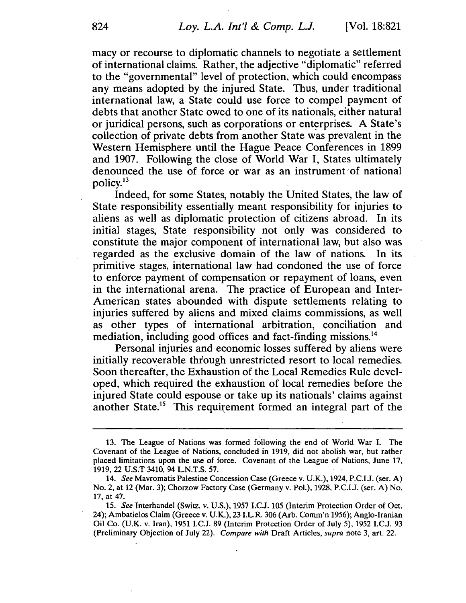macy or recourse to diplomatic channels to negotiate a settlement of international claims. Rather, the adjective "diplomatic" referred to the "governmental" level of protection, which could encompass any means adopted by the injured State. Thus, under traditional international law, a State could use force to compel payment of debts that another State owed to one of its nationals, either natural or juridical persons, such as corporations or enterprises. A State's collection of private debts from another State was prevalent in the Western Hemisphere until the Hague Peace Conferences in 1899 and 1907. Following the close of World War I, States ultimately denounced the use of force or war as an instrument 'of national policy. 13

Indeed, for some States, notably the United States, the law of State responsibility essentially meant responsibility for injuries to aliens as well as diplomatic protection of citizens abroad. In its initial stages, State responsibility not only was considered to constitute the major component of international law, but also was regarded as the exclusive domain of the law of nations. In its primitive stages, iriternational law had condoned the use of force to enforce payment of compensation or repayment of loans, even in the international arena. The practice of European and Inter-American states abounded with dispute settlements relating to injuries suffered by aliens and mixed claims commissions, as well as other types of international arbitration, conciliation and mediation, including good offices and fact-finding missions.<sup>14</sup>

Personal injuries and economic losses suffered by aliens were initially recoverable through unrestricted resort to local remedies. Soon thereafter, the Exhaustion of the Local Remedies Rule developed, which required the exhaustion of local remedies before the injured State could espouse or take up its nationals' claims against another State.<sup>15</sup> This requirement formed an integral part of the

<sup>13.</sup> The League of Nations was formed following the end of World War L The Covenant of the League of Nations, concluded in 1919, did not abolish war, but rather placed limitations upon the use of force. Covenant of the League of Nations, June 17, 1919, 22 U.S.T 3410, 94 L.N.T.S. 57.

*<sup>14.</sup> See* Mavromatis Palestine Concession Case (Greece v. U.K.), 1924, P.C.U. (ser. A) No.2, at 12 (Mar. 3); Chorzow Factory Case (Germany v. PoL), 1928, P.C.U. (ser. A) No. 17, at 47.

*<sup>15.</sup> See* Interhandel (Switz. v. U.S.), 1957 I.C.J. 105 (Interim Protection Order of Oct. 24); Ambatielos Claim (Greece v. U.K.), 23 LL.R. 306 (Arb. Comm'n 1956); Anglo-Iranian Oil Co. (U.K. v. Iran), 1951 I.C.J. 89 (Interim Protection Order of July 5), 1952 I.C.J. 93 (Preliminary Objection of July 22). *Compare with* Draft Articles, *supra* note 3, art. 22.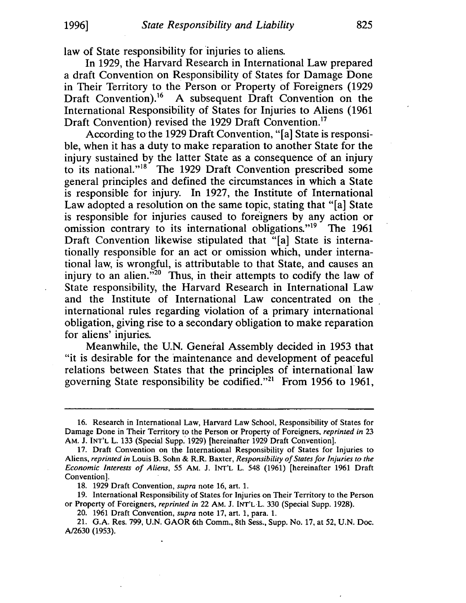law of State responsibility for injuries to aliens.

In 1929, the Harvard Research in International Law prepared a draft Convention on Responsibility of States for Damage Done in Their Territory to the Person or Property of Foreigners (1929 Draft Convention).<sup>16</sup> A subsequent Draft Convention on the International Responsibility of States for Injuries to Aliens (1961 Draft Convention) revised the 1929 Draft Convention.<sup>17</sup>

According to the 1929 Draft Convention, "[a] State is responsible, when it has a duty to make reparation to another State for the injury sustained by the latter State as a consequence of an injury to its national."<sup>18</sup> The 1929 Draft Convention prescribed some general principles and defined the circumstances in which a State is responsible for injury. In 1927, the Institute of International Law adopted a resolution on the same topic, stating that "[a] State is responsible for injuries caused to foreigners by any action or omission contrary to its international obligations."<sup>19</sup> The 1961 Draft Convention likewise stipulated that "[a] State is internationally responsible for an act or omission which, under international law, is wrongful, is attributable to that State, and causes an injury to an alien. $\frac{60}{20}$  Thus, in their attempts to codify the law of State responsibility, the Harvard Research in International Law and the Institute of International Law concentrated on the international rules regarding violation of a primary international obligation, giving rise to a secondary obligation to make reparation for aliens' injuries.

Meanwhile, the U.N. General Assembly decided in 1953 that "it is desirable for the maintenance and development of peaceful relations between States that the principles of international· law governing State responsibility be codified."<sup>21</sup> From 1956 to 1961,

18. 1929 Draft Convention, *supra* note 16, art. 1.

19. International Responsibility of States for Injuries on Their Territory to the Person or Property of Foreigners, *reprinted in* 22 AM. J. INT'LL 330 (Special Supp. 1928).

20. 1961 Draft Convention, *supra* note 17, art. 1, para. 1.

21. G.A. Res. 799, U.N. GAOR 6th Comm., 8th Sess., Supp. No. 17, at 52, U.N. Doc. AJ2630 (1953).

<sup>16.</sup> Research in International Law, Harvard Law School, Responsibility of States for Damage Done in Their Territory to the Person or Property of Foreigners, *reprinted in* 23 AM. J. INT'L L. 133 (Special Supp: 1929) [hereinafter 1929 Draft Convention].

<sup>17.</sup> Draft Convention on the International Responsibility of States for Injuries to Aliens, *reprinted in* Louis B. Sohn & RR Baxter, *Responsibility of States for Injuries to the Economic Interests of Aliens,* 55 AM. J. INT'L L. 548 (1961) [hereinafter 1961 Draft Convention].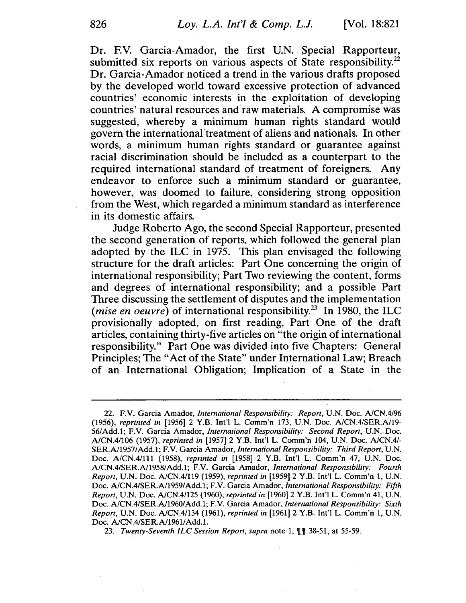Dr. F.V. Garcia-Amador, the first U.N. Special Rapporteur, submitted six reports on various aspects of State responsibility.<sup>22</sup> Dr. Garcia-Amador noticed a trend in the various drafts proposed by the developed world toward excessive protection of advanced countries' economic interests in the exploitation of developing countries' natural resources and 'raw materials. A compromise was suggested, whereby a minimum human rights standard would govern the international'treatment of aliens and nationals. In other words, a minimum human rights standard or guarantee against racial discrimination should be included as a counterpart to the required international standard of treatment of foreigners. Any endeavor to enforce such a minimum standard or guarantee, however, was doomed to failure, considering strong opposition . from the West, which regarded a minimum standard as interference in its domestic affairs.

Judge Roberto Ago, the second Special Rapporteur, presented the second generation of reports. which followed the general plan adopted by the ILC in 1975. This plan envisaged the following structure for the draft articles: Part One concerning the origin of international responsibility; Part Two reviewing the content, forms and degrees of international responsibility; and a possible Part Three discussing the settlement of disputes and the implementation (*mise en oeuvre*) of international responsibility.<sup>23</sup> In 1980, the ILC provisionally adopted, on first reading, Part One of the draft articles, containing thirty-five articles on "the origin of international responsibility." Part One was divided into five Chapters: General Principles; The "Act of the State" under International Law; Breach of an International Obligation; Implication of a State in the

<sup>22.</sup> F.V. Garcia Amador, *International Responsibility: Report,* U.N. Doc. *AlCN.4/96 (1956), reprinted in* [1956] 2 Y.B. Int'! L. Comm'n 173, U.N. Doc. *A/CN.4/SERA/19- 56/Add.1;* F.V. Garcia Amador, *International Responsibility: Second Report,* U.N. Doc. *A/CN.4/106* (1957), *reprinted in* (1957] 2 Y.B. Int'! L. Comm'n 104, U.N. Doc. *AlCN.4/- SERAl1957/Add.1;* F.V. Garcia Amador, *International Responsibility: Third Report,* U.N. Doc. A/CN.4/Il1 (1958), *reprinted in* [1958] 2 Y.B. Int'! L. Comm'n 47, U.N. Doc. *AlCN.4/SERAl1958/Add.1;* F.V. Garcia Amador, *International Responsibility: Fourth Report,* U.N. Doc. *A/CN.4/119* (1959), *reprinted in* [1959] 2 Y.B. Int'! L. Comm'n 1, U.N. Doc. *AlCN.4/SERAI1959/Add.1;* F.V. Garcia Amador, *International Responsibility: Fifth Report,* U.N. Doc. *A/CN.4/125* (1960), *reprinted in* [1960] 2 Y.B. Int'! L. Comm'n 41, U.N. Doc. *AlCN.4/SERAl1960/Add.1;* F.V. Garcia Amador, *International Responsibility: Sixth Report,* U.N. Doc. *AlCN.4/134* (1961), *reprinted in* [1961] 2 Y.B. Int'! L. Comm'n 1, U.N. Doc. A/CN.4/SER.A/1961/Add.1.

<sup>23.</sup> Twenty-Seventh ILC Session Report, supra note 1,  $\P$   $\P$  38-51, at 55-59.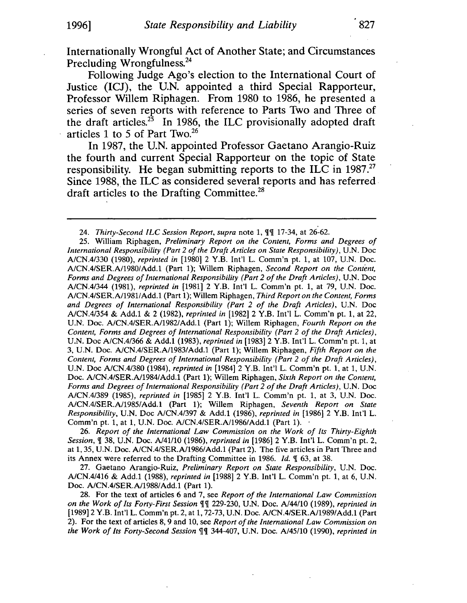Internationally Wrongful Act of Another State; and Circumstances Precluding Wrongfulness.<sup>24</sup>

Following Judge Ago's election to the International Court of Justice (ICJ), the U.N. appointed a third Special Rapporteur, Professor Willem Riphagen. From 1980 to 1986, he presented a series of seven reports with reference to Parts Two and Three of the draft articles.<sup>25</sup> In 1986, the ILC provisionally adopted draft articles 1 to 5 of Part Two.26

In 1987, the U.N. appointed Professor Gaetano Arangio-Ruiz the fourth and current Special Rapporteur on the topic of State responsibility. He began submitting reports to the ILC in 1987.<sup>27</sup> Since 1988, the ILC as considered several reports and has referred draft articles to the Drafting Committee.<sup>28</sup>

26. *Report of the International Law Commission on the Work of Its Thirty-Eighth Session,* 'II 38, U.N. Doc. Al41/10 (1986), *reprinted in* [1986] 2 Y.B. Int'! L. Comm'n pt. 2, at 1, 35, U.N. Doc. A/CN.4/SER.A/1986/Add.1 (Part 2). The five articles in Part Three and its Annex were referred to the Drafting Committee in 1986. *Id.*  $\parallel$  63, at 38.

27. Gaetano Arangio-Ruiz, *Preliminary Report on State Responsibility,* U.N. Doc. AlCNAI416 & Add.1 (1988), *reprinted in* [1988] 2 Y.B. Int'! L. Comm'n pt. 1, at 6, U.N. Doc. A/CN.4/SER.A/1988/Add.1 (Part 1).

28. For the text of articles 6 and 7, see *Report of the International Law Commission on the Work of Its Forty-First Session*  $\P$ <sup>*I*</sup> 229-230, U.N. Doc. A/44/10 (1989), *reprinted in* [1989] 2 Y.B. Int'l L. Comm'n pt. 2, at 1, 72-73, U.N. Doc. A/CN.4/SER.A/1989/Add.1 (Part 2). For the text of articles 8, 9 and 10, see *Report of the International Law Commission on the Work of Its Forty-Second Session*  $\mathbb{I}$  344-407, U.N. Doc. A/45/10 (1990), *reprinted in* 

<sup>24.</sup> *Thirty-Second ILC Session Report, supra* note 1,  $\P\P$  17-34, at 26-62.

<sup>25.</sup> William Riphagen, *Preliminary Report on the Content, Forms and Degrees of International Responsibility (Part* 2 *of the Draft Articles on State Responsibility),* U.N. Doc A/CNAI330 (1980), *reprinted in* [1980] 2 Y.B. Int'! L. Comm'n pt. 1, at 107, U.N. Doc. A/CNAISERA/1980/Add.1 (Part 1); Willem Riphagen, *Second Report on the Content, Forms and Degrees of International Responsibility (Part* 2 *of the Draft Articles),* U.N. Doc A/CNAI344 (1981), *reprinted in* [1981] 2 Y.B. Int'l L. Comm'n pt. 1, at 79, U.N. Doc. A/CNAISERA/19811Add.1 (Part 1); Willem Riphagen, *Third Report on the Content, Forms and Degrees of International Responsibility (Part* 2 *of the Draft Articles),* U.N. Doc A/CNAI354 & Add.1 & 2 (1982), *reprinted in* [1982] 2 Y.B. Int'! L. Comm'n pt. 1, at 22, U.N. Doc. A/CNAISERA/1982/Add.1 (Part 1); Willem Riphagen, *Fourth Report on the Content, Forms and Degrees of International Responsibility (Part* 2 *of the Draft Articles),*  U.N. Doc A/CNAI366 & Add.1 (1983), *reprinted in* [1983] 2 Y.B. Int'! L. Comm'n pt. 1, at 3, U.N. Doc. AlCNAISERAl1983/Add.1 (Part 1); Willem Riphagen, *Fifth Report on the Content, Forms and Degrees of International Responsibility (Part* 2 *of the Draft Articles),*  U.N. Doc AlCN.4/380 (1984), *reprinted in* [1984] 2 Y.B. Int'! L. Comm'n pt. 1, at 1, U.N. Doc. A/CNAISERAl1984/Add.1 (Part 1); Willem Riphagen, *Sixth Report on the Content, Forms and Degrees of International Responsibility (Part* 2 *of the Draft Articles),* U.N. Doc A/CNAI389 (1985), *reprinted in* [1985] 2 Y.B. Int'! L. Comm'n pt. 1, at 3, U.N. Doc. A/CNAISERA/l985IAdd.1 (Part 1); Willem Riphagen, *Seventh Report on State Responsibility,* U.N. Doc AlCNAI397 & Add.1 (1986), *reprinted in* [1986] 2 Y.B. Int'l L. Comm'n pt. 1, at 1, U.N. Doc. A/CN.4/SER.A/1986/Add.1 (Part 1).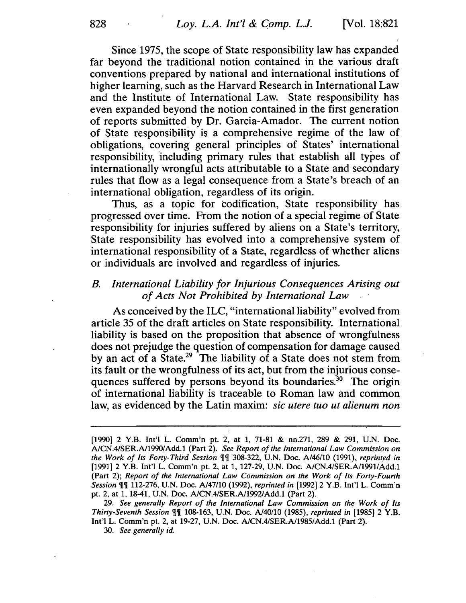Since 1975, the scope of State responsibility law has expanded far beyond the traditional notion contained in the various draft conventions prepared by national and international institutions of higher learning, such as the Harvard Research in International Law and the Institute of International Law. State responsibility has even expanded beyond the notion contained in the first generation of reports submitted by Dr. Garcia-Amador. The current notion of State responsibility is a comprehensive regime of the law of obligations, covering general principles of States' international responsibility, 'including primary rules that establish all types of internationally wrongful acts attributable to a State and secondary rules that flow as a legal consequence from a State's breach of an international obligation, regardless of its origin.

Thus, as a topic for codification, State responsibility has progressed over time. From the notion of a special regime of State responsibility for injuries suffered by aliens on a State's territory, State responsibility has evolved into a comprehensive system of international responsibility of a State, regardless of whether aliens or individuals are involved and regardless of injuries.

## *B. International Liability for Injurious Consequences Arising out of Acts Not Prohibited by International Law*

As conceived by the ILC, "international liability" evolved from article 35 of the draft articles on State responsibility. International liability is based on the proposition that absence of wrongfulness does not prejudge the question of compensation for damage caused by an act of a State.<sup>29</sup> The liability of a State does not stem from its fault or the wrongfulness of its act, but from the injurious consequences suffered by persons beyond its boundaries.<sup>30</sup> The origin of international liability is traceable to Roman law and common law, as evidenced by the Latin maxim: *sic utere tuo ut alienum non* 

*30. See generally id.* 

<sup>[1990] 2</sup> Y.B. Int'l L. Comm'n pt. 2, at 1, 71-81 & nn.271, 289 & 291, U.N. Doc. A/CN.4/SER.A/1990/Add.1 (Part 2). *See Report of the International Law Commission on the Work of Its Forty-Third Session*  $\P\P$  308-322, U.N. Doc. A/46/10 (1991), *reprinted in* [1991] 2 Y.B. Int'l L. Comm'n pt. 2, at 1, 127-29, U.N. Doc. *A/CN.4/SER.A/1991/Add.1* (Part 2); *Report of the International Law Commission on the Work of Its Forty-Fourth Session* **[¶** 112-276, U.N. Doc. *A*/47/10 (1992), *reprinted in* [1992] 2 Y.B. Int'l L. Comm'n pt. 2, at 1, 18-41, U.N. Doc. A/CN.4/SER.A/1992/Add.1 (Part 2).

*<sup>29.</sup> See generally Report of the International Law Commission on the Work of Its Thirty-Seventh Session*  $\P\P$  108-163, U.N. Doc. *A*/40/10 (1985), *reprinted in* [1985] 2 Y.B. Int'l L. Comm'n pt. 2, at 19-27, U.N. Doc. *NCN.4/SERN1985/Add.1* (Part 2).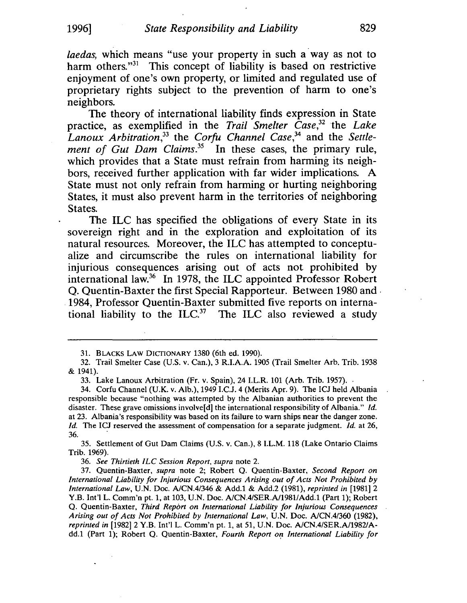*laedas,* which means "use your property in such a' way as not to harm others."<sup>31</sup> This concept of liability is based on restrictive enjoyment of one's own property, or limited and regulated use of proprietary rights subject to the prevention of harm to one's neighbors.

The theory of international liability finds expression in State practice, as exemplified in the *Trail Smelter Case,32* the *Lake Lanoux Arbitration,33* the *Corfu Channel Case,34* and the *Settlement of Gut Dam Claims.35* In these cases, the primary rule, which provides that a State must refrain from harming its neighbors, received further application with far wider implications. A State must not only refrain from harming or hurting neighboring States, it must also prevent harm in the territories of neighboring States.

The ILC has specified the obligations of every State in its sovereign right and in the exploration and exploitation of its natural resources. Moreover, the ILC has attempted to conceptualize and circumscribe the rules on international liability for injurious consequences arising out of acts not prohibited by international law. $36$  In 1978, the ILC appointed Professor Robert Q. Quentin-Baxter the first Special Rapporteur. Between 1980 and . . 1984, Professor Quentin-Baxter submitted five reports on international liability to the  $ILC<sup>37</sup>$  The ILC also reviewed a study

33. Lake Lanoux Arbitration (Fr. v. Spain), 24 I.L.R. 101 (Arb. Trib. 1957).

34. Corfu Channel (U.K. v. Alb.), 1949 I.C.J. 4 (Merits Apr. 9). The ICJ held Albania responsible because "nothing was attempted by the Albanian authorities to prevent the disaster. These grave omissions involve [d] the international responsibility of Albania." *Id.* at 23. Albania's responsibility was based on its failure to warn ships near the danger zone. *Id.* The ICJ reserved the assessment of compensation for a separate judgment. *Id.* at 26, 36. .

35. Settlement of Gut Dam Claims (U.S. v. Can.), 8 I.L.M. 118 (Lake Ontario Claims Trib. 1969).

*36. See Thirtieth ILC Session Report, supra* note 2.

37. Quentin-Baxter, *supra* note 2; Robert Q. Quentin-Baxter, *Second Report on International Liability for Injurious Consequences Arising out of Acts Not Prohibited by International Law,* U.N. Doc. *AlCN.4/346* & Add.l & Add.2 (1981), *reprinted in [1981]2*  Y.B. Int'l L. Comm'n pt. 1, at 103, U.N. Doc. *AlCN.4/SER.AlI9811Add.1* (Part 1); Robert Q. Quentin-Baxter, *Third Report on International Liability for Injurious Consequences Arising out of Acts Not Prohibited by International Law,* U.N. Doc. *AlCN.4/360 (1982), reprinted in* [1982] 2 Y.B. Int'l L. Comm'n pt. 1, at 51, U.N. Doc. *AlCN.4/SER.AlI9821A*dd.1 (Part 1); Robert Q. Quentin-Baxter, *Fourth Report on International Liability for* 

<sup>31.</sup> BLACKS LAW DICTIONARY 1380 (6th ed. 1990).

<sup>32.</sup> Trail Smelter Case (U.S. v. Can.), 3 R.I.A.A. 1905 (Trail Smelter Arb. Trib. 1938 & 1941).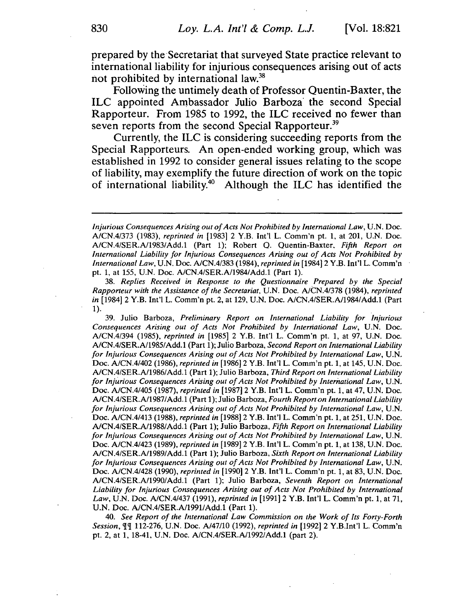prepared by the 'Secretariat that surveyed State practice relevant to international liability for injurious consequences arising out of acts not prohibited by international law.<sup>38</sup>

Following the untimely death of Professor Quentin-Baxter, the ILC appointed Ambassador Julio Barboza' the second Special Rapporteur. From 1985 to 1992, the ILC received no fewer than seven reports from the second Special Rapporteur.<sup>39</sup>

Currently, the ILC is considering succeeding reports from the Special Rapporteurs. An open-ended working group, which was established in 1992 to consider general issues relating to the scope of liability, may exemplify the future direction of work on the topic of international liability.40 Although the ILC has identified the

*38. Replies Received in Response to the Questionnaire Prepared by the Special Rapporteur with the Assistance of the Secretariat,* U.N. Doc. *AlCN.4/378* (1984), *reprinted in* [1984]2 Y.B. Int'I L. Comm'n pt. 2, at 129, U.N. Doc. A/CN.4/SER.Al1984/Add.1 (Part 1).

39. Julio Barboza, *Preliminary Report on International Liability for Injurious Consequences Arising out of Acts Not Prohibited by Inteniational Law,* U.N. Doc. *A/CN.4/394* (1985), *reprinted in* [1985] 2 Y.B. Int'I L. Comm'n pt. 1, at 97, U.N. Doc. *A/CN.4/SER.A/1985/Add.1* (Part 1); Julio Barboza, *Second Report on International Liability*  for Injurious Consequences Arising out of Acts Not Prohibited by International Law, U.N. Doc. A/CN.4/402 (1986), *reprinted in* [1986]2 Y.B. Int'I L. Comm'n pt. 1, at 145, U.N. Doc. *A/CN.4/SER.A/1986/Add.1* (Part 1); Julio Barboza, *Third Report on International Liability*  for Injurious Consequences Arising out of Acts Not Prohibited by International Law, U.N. Doc. *A/CN.4/405* (1987), *reprinted in* [1987]2 Y.B. Int'! L. Comm'n pt. 1, at 47, U.N. Doc. *A/CN.4/SER.A/1987* / Add.1 (Part 1); Julio Barboza, *Fourth Report on International Liability for Injurious Consequences Arising out of Acts Not Prohibited by International Law,* U.N. Doc. *A/CN.4/413* (1988), *reprinted in* [1988]2 y.B. Int'l L. Comm'n pt. 1, at 251, U.N. Doc. *AlCN.4/SER.A/1988/Add.1* (Part 1); Julio Barboza, *Fifth Report on International Liability*  for Injurious Consequences Arising out of Acts Not Prohibited by International Law, U.N. Doc. *A/CN.4/423* (1989), *reprinted in* [1989]2 Y.B. Int'! L. Comm'n pt. 1, at 138, U.N. Doc. AlCN.4/SER.A/1989/Add.1 (Part 1); Julio Barboza, *Sixth Report on International Liability*  for Injurious Consequences Arising out of Acts Not Prohibited by International Law, U.N. Doc. A/CN.4/428 (1990), *reprinted in* [1990]2 y.B. Int'l L. Comm'n pt. 1, at 83, U.N. Doc. A/CN.4/SER.A/1990/Add.1 (Part 1); Julio Barboza, *Seventh Report on International Liability for Injurious Consequences Arising out of Acts Not Prohibited by International Law,* U.N. Doc. A/CN.4/437 (1991), *reprinted in* [1991]2 Y.B. Int'I L. Comm'n pt. 1, at 71, U.N. Doc. *AlCN.4/SER.A/19911Add.1* (Part 1).

*40. See Report of the International Law Commission on the Work of Its Forty-Forth Session,* <Jl<Jl 112-276, U.N. Doc. *A/47/10* (1992), *reprinted in* [1992] 2 Y.B.lnt'l L. Comm'n pt. 2, at 1, 18-41, U.N. Doc. *AlCN.4/SER.A/1992/Add.1* (part 2).

*Injurious Consequences Arising out of Acts Not Prohibited by International Law,* U.N. Doc. *A/CN.4/373* (1983), *reprinted in* [1983] 2 Y.B. Int'l L. Comm'n pt. 1, at 201, U.N. Doc. *A/CN.4/SER.A/1983/Add.1* (Part 1); Robert O. Ouentin-Baxter. *Fifth Report on International Liability for Injurious Consequences Arising out of Acts Not Prohibited by International Law,* U.N. Doc. *AlCN.4/383* (1984), *reprinted in* [1984]2 Y.B. Int'I L. Comm'n pt. 1, at 155, U.N. Doc. *A/CN.4/SER.A/1984/Add.1* (Part 1).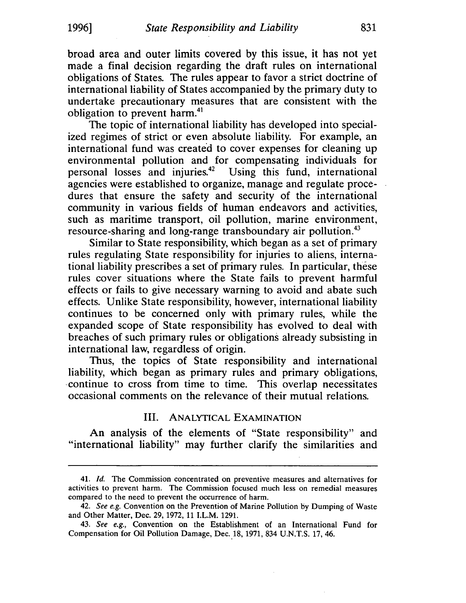broad area and outer limits covered by this issue, it has not yet made a final decision regarding the draft rules on international obligations of States. The rules appear to favor a strict doctrine of international liability of States accompanied by the primary duty to undertake precautionary measures that are consistent with the obligation to prevent harm.<sup>41</sup>

The topic of international liability has developed into specialized regimes of strict or even absolute liability. For example, an international fund was created to cover expenses for cleaning up environmental pollution and for compensating individuals for personal losses and injuries.42 Using this fund, international agencies were established to organize, manage and regulate procedures that ensure the safety and security of the international community in various fields of human endeavors and activities, such as maritime transport, oil pollution, marine environment, resource-sharing and long-range transboundary air pollution.<sup>43</sup>

Similar to State responsibility, which began as a set of primary rules regulating State responsibility for injuries to aliens, international liability prescribes a set of primary rules. In particular, these rules cover situations where the State fails to prevent harmful effects or fails to give necessary warning to avoid and abate such effects. Unlike State responsibility, however, international liability continues to be concerned only with primary rules, while the expanded scope of State responsibility has evolved to deal with breaches of such primary rules or obligations already subsisting in international law, regardless of origin.

Thus, the topics of State responsibility and international liability, which began as primary rules and primary obligations, ·continue to cross from time to time. This overlap necessitates occasional comments on the relevance of their mutual relations.

# III. ANALYTICAL EXAMINATION

An analysis of the elements of "State responsibility" and "international liability" may further clarify the similarities and

*<sup>41.</sup> Id.* The Commission concentrated on preventive measures and alternatives for activities to prevent harm. The Commission focused much less on remedial measures compared to the need to prevent the occurrence of harm.

*<sup>42.</sup> See e.g.* Convention on the Prevention of Marine Pollution by Dumping of Waste and Other Matter, Dec. 29, 1972, 11 LL.M. 1291.

*<sup>43.</sup> See e.g.,* Convention on the Establishment of an International Fund for Compensation for Oil Pollution Damage, Dec.18, 1971, 834 V.N.T.S. 17,46.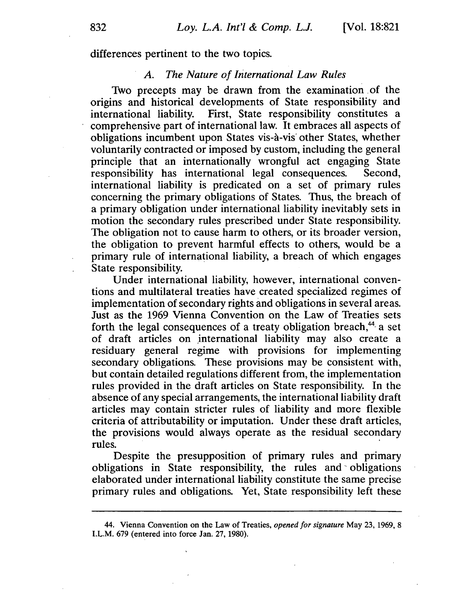differences pertinent to the two topics.

#### *A. The Nature of International Law Rules*

Two precepts may be drawn from the examination. of the origins and historical developments of State responsibility and international liability. First, State responsibility constitutes a comprehensive part of international law. It embraces all aspects of obligations incumbent upon States vis-a-vis' other States, whether voluntarily contracted or imposed by custom, including the general principle that an internationally wrongful act engaging State responsibility has international legal consequences. Second, international liability is predicated on a set of primary rules concerning the primary obligations of States. Thus, the breach of a primary obligation under international liability inevitably sets in motion the secondary rules prescribed under State responsibility. The obligation not to cause harm to others, or its broader version, the obligation to prevent harmful effects to others, would be a primary rule of international liability, a breach of which engages State responsibility.

Under international liability, however, international conventions and multilateral treaties have created specialized regimes of implementation of secondary rights and obligations in several areas. Just as the 1969 Vienna Convention on the Law of Treaties sets forth the legal consequences of a treaty obligation breach, $44$  a set of draft articles on international liability may also create a residuary general regime with provisions for implementing secondary obligations. These provisions may be consistent with, but contain detailed regulations different from, the implementation rules provided in the draft articles on State responsibility. In the absence of any special arrangements, the international liability draft articles may contain stricter rules of liability and more flexible criteria of attributability or imputation. Under these draft articles, the provisions would always operate as the residual secondary rules. The contract of the contract of the contract of the contract of the contract of the contract of the contract of the contract of the contract of the contract of the contract of the contract of the contract of the con

Despite the presupposition of primary rules and primary obligations in State responsibility, the rules and - obligations elaborated under international liability constitute the same precise primary rules and obligations. Yet, State responsibility left these

<sup>44.</sup> Vienna Convention on the Law of Treaties, *opened for signature* May 23, 1969, 8 I.L.M. 679 (entered into force Jan. 27, 1980).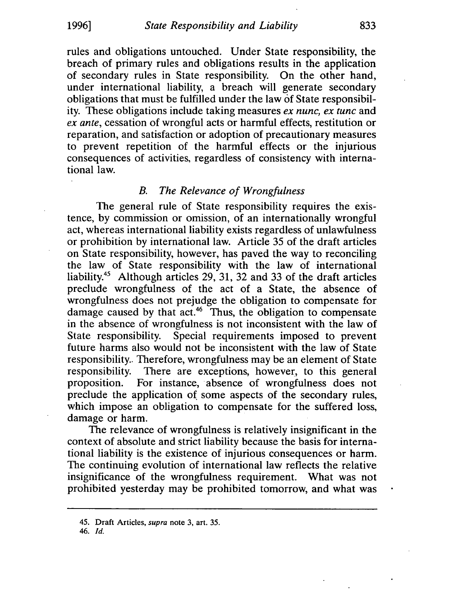rules and obligations untouched. Under State responsibility, the breach of primary rules and obligations results in the application of secondary rules in State responsibility. On the other hand, under international liability, a breach will generate secondary obligations that must be fulfilled under the law of State responsibility. These obligations include taking measures *ex nunc, ex tunc* and *ex ante,* cessation of wrongful acts or harmful effects, restitution or reparation, and satisfaction or adoption of precautionary measures to prevent repetition of the harmful effects or the injurious consequences of activities, regardless of consistency with international law.

# *B. The Relevance of Wrongfulness*

The general rule of State responsibility requires the existence, by commission or omission, of an internationally wrongful act, whereas international liability exists regardless of unlawfulness or prohibition by international law. Article 35 of the draft articles on State responsibility, however, has paved the way to reconciling the law of State responsibility with the law of international liability.45 Although articles 29, 31, 32 and 33 of the draft articles preclude wrongfulness of the act of a State, the absence of wrongfulness does not prejudge the obligation to compensate for damage caused by that act.<sup>46</sup> Thus, the obligation to compensate in the absence of wrongfulness is not inconsistent with the law of State responsibility. Special requirements imposed to prevent future harms also would not be inconsistent with the law of State responsibility. Therefore, wrongfulness may be an element of State responsibility. There are exceptions, however, to this general proposition. For instance, absence of wrongfulness does not preclude the application of some aspects of the secondary rules, which impose an obligation to compensate for the suffered loss, damage or harm.

The relevance of wrongfulness is relatively insignificant in the context of absolute and strict liability because the basis for international liability is the existence of injurious consequences or harm. The continuing evolution of international law reflects the relative insignificance of the wrongfulness requirement. What was not prohibited yesterday may be prohibited tomorrow, and what was

46. [d.

<sup>45.</sup> Draft Articles, *supra* note 3, art. 35.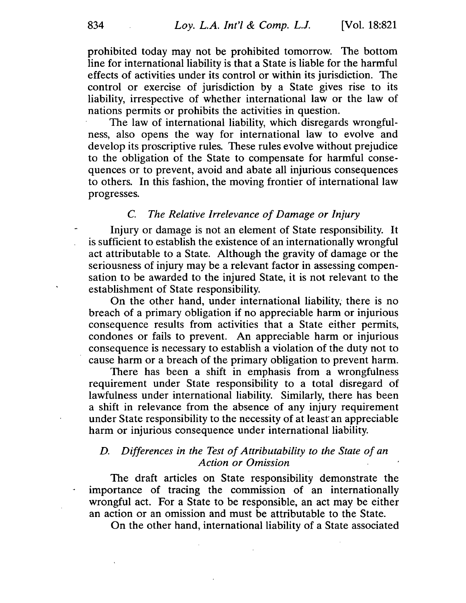prohibited today may not be prohibited tomorrow. The bottom line for international liability is that a State is liable for the harmful effects of activities under its control or within its jurisdiction. The control or exercise of jurisdiction by a State gives rise to its liability, irrespective of whether international law or the law of nations permits or prohibits the activities in question.

The law of international liability, which disregards wrongfulness, also opens the way for international law to evolve and develop its proscriptive rules. These rules evolve without prejudice to the obligation of the State to compensate for harmful consequences or to prevent, avoid and abate all injurious consequences to others. In this fashion, the moving frontier of international law progresses.

## C. *The Relative Irrelevance of Damage or Injury*

Injury or damage is not an element of State responsibility. It is sufficient to establish the existence of an internationally wrongful act attributable to a State. Although the gravity of damage or the seriousness of injury may be a relevant factor in assessing compensation to be awarded to the injured State, it is not relevant to the establishment of State responsibility.

On the other hand, under international liability, there is no breach of a primary obligation if no appreciable harm or injurious consequence results from activities that a State either permits, condones or fails to prevent. An appreciable harm or injurious consequence is necessary to establish a violation of the duty not to cause harm or a breach of the primary obligation to prevent harm.

There has been a shift in emphasis from a wrongfulness requirement under State responsibility to a total disregard of lawfulness under international liability. Similarly, there has been a shift in relevance from the absence of any injury requirement under State responsibility to the necessity of at least an appreciable harm or injurious consequence under international liability.

## *D. Differences in the Test of Attributability to the State of an Action or Omission*

The draft articles on State responsibility demonstrate the importance of tracing the commission of an internationally wrongful act. For a State to be responsible, an act may be either an action or an omission and must be attributable to the State.

On the other hand, international liability of a State associated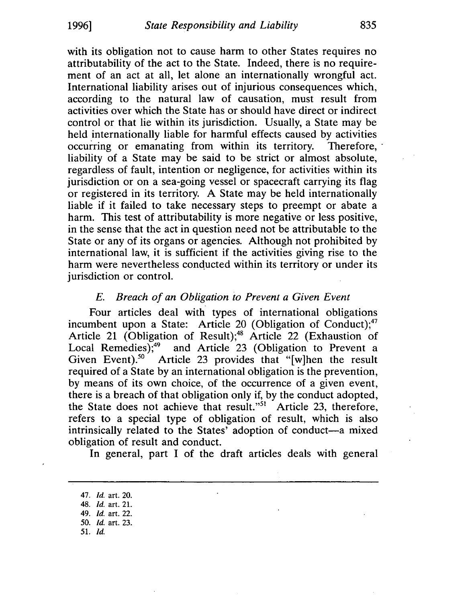with its obligation not to cause harm to other States requires no attributability of the act to the State. Indeed, there is no requirement of an act at all, let alone an internationally wrongful act. International liability arises out of injurious consequences which, according to the natural law of causation, must result from activities over which the State has or should have direct or indirect control or that lie within its jurisdiction. Usually, a State may be held internationally liable for harmful effects caused by activities occurring or emanating from within its territory. Therefore,' liability of a State may be said to be strict or almost absolute, regardless of fault, intention or negligence, for activities within its jurisdiction or on a sea-going vessel or spacecraft carrying its flag or registered in its territory. A State may be held internationally liable if it failed to take necessary steps to preempt or abate a harm. This test of attributability is more negative or less positive, in the sense that the act in question need not be attributable to the State or any of its organs or agencies. Although not prohibited by international law, it is sufficient if the activities giving rise to the harm were nevertheless conducted within its territory or under its jurisdiction or control.

## E. *Breach of an Obligation to Prevent a Given Event*

Four articles deal with types of international obligations incumbent upon a State: Article 20 (Obligation of Conduct); $47$ Article 21 (Obligation of Result);<sup>48</sup> Article 22 (Exhaustion of Local Remedies);<sup>49</sup> and Article 23 (Obligation to Prevent a Local Remedies);<sup>49</sup> and Article 23 (Obligation to Prevent a Given Event).<sup>50</sup> Article 23 provides that "[w]hen the result Article 23 provides that "[w]hen the result required of a State by an international obligation is the prevention, by means of its own choice, of the occurrence of a given event, there is a breach of that obligation only if, by the conduct adopted, the State does not achieve that result."<sup>51</sup> Article 23, therefore, refers to a special type of obligation of result, which is also intrinsically related to the States' adoption of conduct-a mixed obligation of result and conduct.

In general, part I of the draft articles deals with general

- 49. *Id.* art. 22.
- 50. *Id.* art. 23.
- 51. [d.

<sup>47.</sup> *Id.* art. 20.

<sup>48. [</sup>d. art. 21.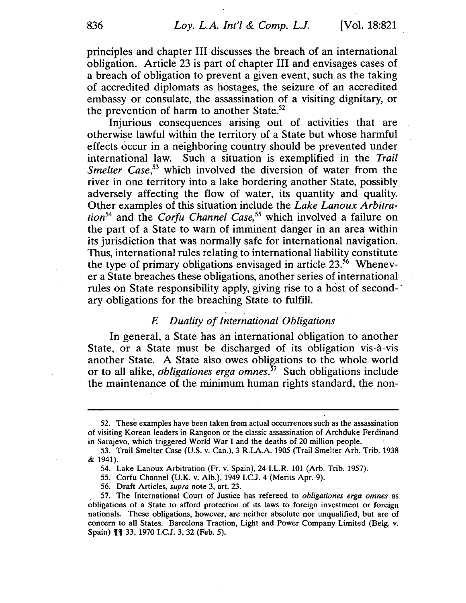principles and chapter III discusses the breach of an international obligation. Article 23 is part of chapter III and envisages cases of a breach of obligation to prevent a given event, such as the taking of accredited diplomats as hostages, the seizure of an accredited embassy or consulate, the assassination of a visiting dignitary, or the prevention of harm to another State.<sup>52</sup>

Injurious consequences arising out of activities that are otherwise lawful within the territory of a State but whose harmful effects occur in a neighboring country should be prevented under international law. Such a situation is exemplified in the *Trail Smelter Case*<sup>53</sup> which involved the diversion of water from the river in one territory into a lake bordering another State, possibly adversely affecting the flow of water, its quantity and quality. Other examples of this situation include the *Lake Lanoux Arbitration<sup>54</sup>*and the *Corfu Channel Case,55* which involved a failure on the part of a State to warn of imminent danger in an area within its jurisdiction that was normally safe for international navigation. Thus, international rules relating to international liability constitute the type of primary obligations envisaged in article  $23.^{56}$  Whenever a State breaches these obligations, another series of international rules on State responsibility apply, giving rise to a host of secondary obligations for the breaching State to fulfill.

# *F. Duality of International Obligations*

In general, a State has an international obligation to another State, or a State must be discharged of its obligation vis-a-vis another State. A State also owes obligations to the whole world or to all alike, *obligationes erga omnes.57* Such obligations include the maintenance of the minimum human rights standard, the non-

56. Draft Articles, *supra* note 3, art. 23.

<sup>52.</sup> These examples have been taken from actual occurrences such as the assassination of visiting Korean leaders in Rangoon or the classic assassination of Archduke Ferdinand in Sarajevo, which triggered World War I and the deaths of 20 million people.

<sup>53.</sup> Trail Smelter Case (U.S. v. Can.), 3 R.I.A.A. 1905 (Trail Smelter Arb. Trib. 1938 & 1941).

<sup>54.</sup> Lake Lanoux Arbitration (Fr. v. Spain), 24 I.L.R. 101 (Arb. Trib. 1957).

<sup>55.</sup> Corfu Channel (U.K. v. Alb.), 1949 I.C.J. 4 (Merits Apr. 9).

<sup>57.</sup> The International Court of Justice has refereed to *obligationes erga omnes* as obligations of a State to afford protection of its laws to foreign investment or foreign nationals. These obligations, however, are neither absolute nor unqualified, but are of concern to all States. Barcelona Traction, Light and Power Company Limited (Belg. v. Spain)  $\P$  $\P$  33, 1970 I.C.J. 3, 32 (Feb. 5).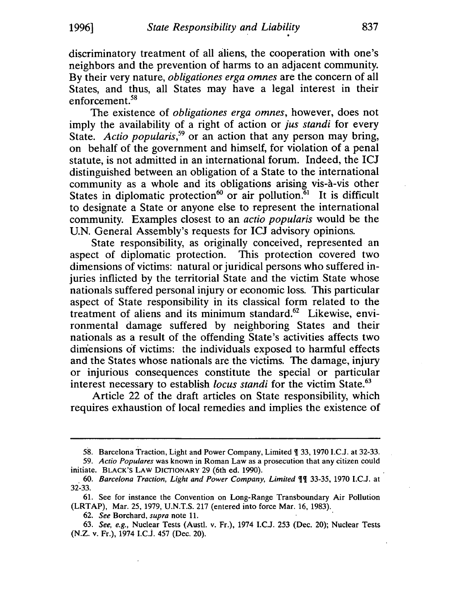discriminatory treatment of all aliens, the cooperation with one's neighbors and the prevention of harms to an adjacent community. By their very nature, *obligationes erga omnes* are the concern of all States, and thus, all States may have a legal interest in their enforcement.<sup>58</sup>

The existence of *obligationes erga omnes,* however, does not imply the availability of a right of action or *jus standi* for every State. *Actio popularis,59* or an action that any person may bring, on behalf of the government and himself, for violation of a penal statute, is not admitted in an international forum. Indeed, the ICJ distinguished between an obligation of a State to the international community as a whole and its obligations arising vis-à-vis other States in diplomatic protection<sup>60</sup> or air pollution.<sup>61</sup> It is difficult to designate a State or anyone else to represent the international community. Examples closest to an *actio popularis* would be the U.N. General Assembly's requests for ICJ advisory opinions.

State responsibility, as originally conceived, represented an aspect of diplomatic protection. This protection covered two dimensions of victims: natural or juridical persons who suffered injuries inflicted by the territorial State and the victim State whose nationals suffered personal injury or economic loss. This particular aspect of State responsibility in its classical form related to the treatment of aliens and its minimum standard.<sup>62</sup> Likewise, environmental damage suffered by neighboring States and their nationals as a result of the offending State's activities affects two dimensions of victims: the individuals exposed to harmful effects and the States whose nationals are the victims. The damage, injury or injurious consequences constitute the special or particular interest necessary to establish *locus standi* for the victim State.<sup>63</sup>

Article 22 of the draft articles on State responsibility, which requires exhaustion of local remedies and implies the existence of

<sup>58.</sup> Barcelona Traction, Light and Power Company, Limited ¶ 33, 1970 I.C.J. at 32-33.

*<sup>59.</sup> Actio Populares* was known in Roman Law as a prosecution that any citizen could initiate. BLACK'S LAW DICTIONARY 29 (6th ed. 1990).

<sup>60.</sup> *Barcelona Traction, Light and Power Company, Limited*  $\P$ <sup>*I*</sup> 33-35, 1970 I.C.J. at 32-33.

<sup>61.</sup> See for instance the Convention on Long-Range Transboundary Air Pollution (LRTAP), Mar. 25, 1979, U.N.T.S. 217 (entered into force Mar. 16, 1983).

*<sup>62.</sup> See* Borchard, *supra* note 11.

<sup>63.</sup> See, e.g., Nuclear Tests (Austl. v. Fr.), 1974 I.C.J. 253 (Dec. 20); Nuclear Tests (N.Z. v. Fr.), 1974 I.cJ. 457 (Dec. 20).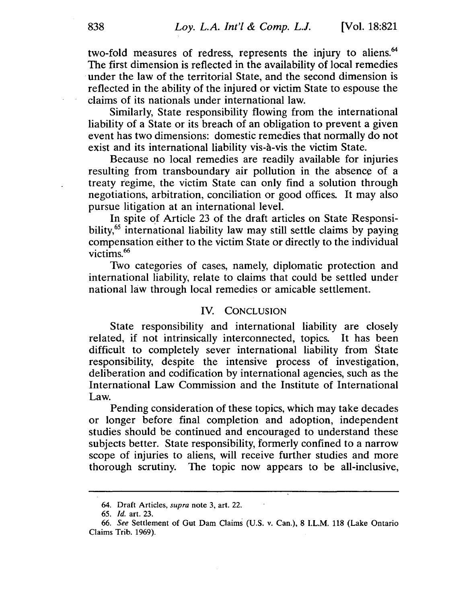two-fold measures of redress, represents the injury to aliens.<sup>64</sup> The first dimension is reflected in the availability of local remedies . under the law of the territorial State, and the second dimension is reflected in the ability of the injured or victim State to espouse the claims of its nationals under international law.

Similarly, State responsibility flowing from the international liability of a State or its breach of an obligation to prevent a given event has two dimensions: domestic remedies that normally do not exist and its international liability vis-a-vis the victim State.

Because no local remedies are readily available for injuries resulting from transboundary air pollution in the absence of a treaty regime, the victim State can only find a solution through negotiations, arbitration, conciliation or good offices. It may also pursue litigation at an international level.

In spite of Article 23 of the draft articles on State Responsibility,<sup>65</sup> international liability law may still settle claims by paying compensation either to the victim State or directly to the individual victims.<sup>66</sup>

Two categories of cases, namely, diplomatic protection and international liability, relate to claims that could be settled under national law through local remedies or amicable settlement.

#### IV. CONCLUSION

State responsibility and international liability are closely related, if not intrinsically interconnected, topics. It has been difficult to completely sever international liability from State responsibility, despite the intensive process of investigation, deliberation and codification by international agencies, such as the International Law Commission and the Institute of International Law.

Pending consideration of these topics, which may take decades or longer before final completion and adoption, independent studies should be continued and encouraged to understand these subjects better. State responsibility, formerly confined to a narrow scope of injuries to aliens, will receive further studies and more thorough scrutiny. The topic now appears to be all-inclusive,

<sup>64.</sup> Draft Articles, *supra* note 3, art. 22.

*<sup>65.</sup> Id.* art. 23.

*<sup>66.</sup> See* Settlement of Gut Dam Claims (U.S. V. Can.), 8 I.L.M. 118 (Lake Ontario Claims Trib. 1969).